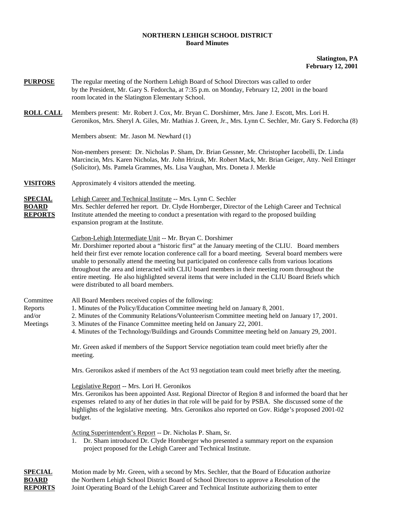## **NORTHERN LEHIGH SCHOOL DISTRICT Board Minutes**

## **Slatington, PA February 12, 2001**

| <b>PURPOSE</b>                                   | The regular meeting of the Northern Lehigh Board of School Directors was called to order<br>by the President, Mr. Gary S. Fedorcha, at 7:35 p.m. on Monday, February 12, 2001 in the board<br>room located in the Slatington Elementary School.                                                                                                                                                                                                                                                                                                                                                                                    |
|--------------------------------------------------|------------------------------------------------------------------------------------------------------------------------------------------------------------------------------------------------------------------------------------------------------------------------------------------------------------------------------------------------------------------------------------------------------------------------------------------------------------------------------------------------------------------------------------------------------------------------------------------------------------------------------------|
| <b>ROLL CALL</b>                                 | Members present: Mr. Robert J. Cox, Mr. Bryan C. Dorshimer, Mrs. Jane J. Escott, Mrs. Lori H.<br>Geronikos, Mrs. Sheryl A. Giles, Mr. Mathias J. Green, Jr., Mrs. Lynn C. Sechler, Mr. Gary S. Fedorcha (8)                                                                                                                                                                                                                                                                                                                                                                                                                        |
|                                                  | Members absent: Mr. Jason M. Newhard (1)                                                                                                                                                                                                                                                                                                                                                                                                                                                                                                                                                                                           |
|                                                  | Non-members present: Dr. Nicholas P. Sham, Dr. Brian Gessner, Mr. Christopher Iacobelli, Dr. Linda<br>Marcincin, Mrs. Karen Nicholas, Mr. John Hrizuk, Mr. Robert Mack, Mr. Brian Geiger, Atty. Neil Ettinger<br>(Solicitor), Ms. Pamela Grammes, Ms. Lisa Vaughan, Mrs. Doneta J. Merkle                                                                                                                                                                                                                                                                                                                                          |
| <b>VISITORS</b>                                  | Approximately 4 visitors attended the meeting.                                                                                                                                                                                                                                                                                                                                                                                                                                                                                                                                                                                     |
| <b>SPECIAL</b><br><b>BOARD</b><br><b>REPORTS</b> | Lehigh Career and Technical Institute -- Mrs. Lynn C. Sechler<br>Mrs. Sechler deferred her report. Dr. Clyde Hornberger, Director of the Lehigh Career and Technical<br>Institute attended the meeting to conduct a presentation with regard to the proposed building<br>expansion program at the Institute.                                                                                                                                                                                                                                                                                                                       |
|                                                  | Carbon-Lehigh Intermediate Unit -- Mr. Bryan C. Dorshimer<br>Mr. Dorshimer reported about a "historic first" at the January meeting of the CLIU. Board members<br>held their first ever remote location conference call for a board meeting. Several board members were<br>unable to personally attend the meeting but participated on conference calls from various locations<br>throughout the area and interacted with CLIU board members in their meeting room throughout the<br>entire meeting. He also highlighted several items that were included in the CLIU Board Briefs which<br>were distributed to all board members. |
| Committee<br>Reports<br>and/or<br>Meetings       | All Board Members received copies of the following:<br>1. Minutes of the Policy/Education Committee meeting held on January 8, 2001.<br>2. Minutes of the Community Relations/Volunteerism Committee meeting held on January 17, 2001.<br>3. Minutes of the Finance Committee meeting held on January 22, 2001.<br>4. Minutes of the Technology/Buildings and Grounds Committee meeting held on January 29, 2001.                                                                                                                                                                                                                  |
|                                                  | Mr. Green asked if members of the Support Service negotiation team could meet briefly after the<br>meeting.                                                                                                                                                                                                                                                                                                                                                                                                                                                                                                                        |
|                                                  | Mrs. Geronikos asked if members of the Act 93 negotiation team could meet briefly after the meeting.                                                                                                                                                                                                                                                                                                                                                                                                                                                                                                                               |
|                                                  | Legislative Report -- Mrs. Lori H. Geronikos<br>Mrs. Geronikos has been appointed Asst. Regional Director of Region 8 and informed the board that her<br>expenses related to any of her duties in that role will be paid for by PSBA. She discussed some of the<br>highlights of the legislative meeting. Mrs. Geronikos also reported on Gov. Ridge's proposed 2001-02<br>budget.                                                                                                                                                                                                                                                 |
|                                                  | Acting Superintendent's Report -- Dr. Nicholas P. Sham, Sr.<br>1. Dr. Sham introduced Dr. Clyde Hornberger who presented a summary report on the expansion<br>project proposed for the Lehigh Career and Technical Institute.                                                                                                                                                                                                                                                                                                                                                                                                      |
| CDE/CLA                                          | Cross with a second by Mrs. Reables that the Board of Education                                                                                                                                                                                                                                                                                                                                                                                                                                                                                                                                                                    |

**SPECIAL** Motion made by Mr. Green, with a second by Mrs. Sechler, that the Board of Education authorize **BOARD** the Northern Lehigh School District Board of School Directors to approve a Resolution of the **REPORTS** Joint Operating Board of the Lehigh Career and Technical Institute authorizing them to enter Joint Operating Board of the Lehigh Career and Technical Institute authorizing them to enter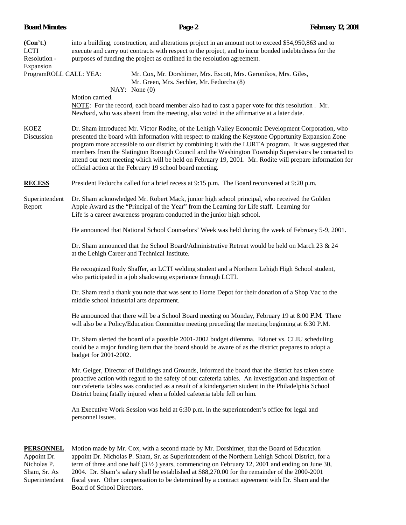| (Con't.)<br><b>LCTI</b><br>Resolution -<br>Expansion<br>ProgramROLL CALL: YEA: | into a building, construction, and alterations project in an amount not to exceed \$54,950,863 and to<br>execute and carry out contracts with respect to the project, and to incur bonded indebtedness for the<br>purposes of funding the project as outlined in the resolution agreement.<br>Mr. Cox, Mr. Dorshimer, Mrs. Escott, Mrs. Geronikos, Mrs. Giles,<br>Mr. Green, Mrs. Sechler, Mr. Fedorcha (8)<br>NAY: None(0)<br>Motion carried.<br>NOTE: For the record, each board member also had to cast a paper vote for this resolution . Mr.<br>Newhard, who was absent from the meeting, also voted in the affirmative at a later date. |  |  |  |  |  |
|--------------------------------------------------------------------------------|-----------------------------------------------------------------------------------------------------------------------------------------------------------------------------------------------------------------------------------------------------------------------------------------------------------------------------------------------------------------------------------------------------------------------------------------------------------------------------------------------------------------------------------------------------------------------------------------------------------------------------------------------|--|--|--|--|--|
| <b>KOEZ</b><br>Discussion                                                      | Dr. Sham introduced Mr. Victor Rodite, of the Lehigh Valley Economic Development Corporation, who<br>presented the board with information with respect to making the Keystone Opportunity Expansion Zone<br>program more accessible to our district by combining it with the LURTA program. It was suggested that<br>members from the Slatington Borough Council and the Washington Township Supervisors be contacted to<br>attend our next meeting which will be held on February 19, 2001. Mr. Rodite will prepare information for<br>official action at the February 19 school board meeting.                                              |  |  |  |  |  |
| <b>RECESS</b>                                                                  | President Fedorcha called for a brief recess at 9:15 p.m. The Board reconvened at 9:20 p.m.                                                                                                                                                                                                                                                                                                                                                                                                                                                                                                                                                   |  |  |  |  |  |
| Superintendent<br>Report                                                       | Dr. Sham acknowledged Mr. Robert Mack, junior high school principal, who received the Golden<br>Apple Award as the "Principal of the Year" from the Learning for Life staff. Learning for<br>Life is a career awareness program conducted in the junior high school.                                                                                                                                                                                                                                                                                                                                                                          |  |  |  |  |  |
|                                                                                | He announced that National School Counselors' Week was held during the week of February 5-9, 2001.                                                                                                                                                                                                                                                                                                                                                                                                                                                                                                                                            |  |  |  |  |  |
|                                                                                | Dr. Sham announced that the School Board/Administrative Retreat would be held on March 23 & 24<br>at the Lehigh Career and Technical Institute.                                                                                                                                                                                                                                                                                                                                                                                                                                                                                               |  |  |  |  |  |
|                                                                                | He recognized Rody Shaffer, an LCTI welding student and a Northern Lehigh High School student,<br>who participated in a job shadowing experience through LCTI.                                                                                                                                                                                                                                                                                                                                                                                                                                                                                |  |  |  |  |  |
|                                                                                | Dr. Sham read a thank you note that was sent to Home Depot for their donation of a Shop Vac to the<br>middle school industrial arts department.                                                                                                                                                                                                                                                                                                                                                                                                                                                                                               |  |  |  |  |  |
|                                                                                | He announced that there will be a School Board meeting on Monday, February 19 at 8:00 P.M. There<br>will also be a Policy/Education Committee meeting preceding the meeting beginning at 6:30 P.M.                                                                                                                                                                                                                                                                                                                                                                                                                                            |  |  |  |  |  |
|                                                                                | Dr. Sham alerted the board of a possible 2001-2002 budget dilemma. Edunet vs. CLIU scheduling<br>could be a major funding item that the board should be aware of as the district prepares to adopt a<br>budget for 2001-2002.                                                                                                                                                                                                                                                                                                                                                                                                                 |  |  |  |  |  |
|                                                                                | Mr. Geiger, Director of Buildings and Grounds, informed the board that the district has taken some<br>proactive action with regard to the safety of our cafeteria tables. An investigation and inspection of<br>our cafeteria tables was conducted as a result of a kindergarten student in the Philadelphia School<br>District being fatally injured when a folded cafeteria table fell on him.                                                                                                                                                                                                                                              |  |  |  |  |  |
|                                                                                | An Executive Work Session was held at 6:30 p.m. in the superintendent's office for legal and<br>personnel issues.                                                                                                                                                                                                                                                                                                                                                                                                                                                                                                                             |  |  |  |  |  |
| <b>PERSONNEL</b><br>$\cdot$ int $\mathbf{D}$ r                                 | Motion made by Mr. Cox, with a second made by Mr. Dorshimer, that the Board of Education<br>enneint Dr. Nicholas D. Sham Sr. es Superintendent of the Northern Lebish School District for a                                                                                                                                                                                                                                                                                                                                                                                                                                                   |  |  |  |  |  |

Appoint Dr. appoint Dr. Nicholas P. Sham, Sr. as Superintendent of the Northern Lehigh School District, for a Nicholas P. term of three and one half (3  $\frac{1}{2}$ ) years, commencing on February 12, 2001 and ending on June 30, Sham, Sr. As 2004. Dr. Sham's salary shall be established at \$88,270.00 for the remainder of the 2000-2001 Superintendent fiscal year. Other compensation to be determined by a contract agreement with Dr. Sham and the Board of School Directors.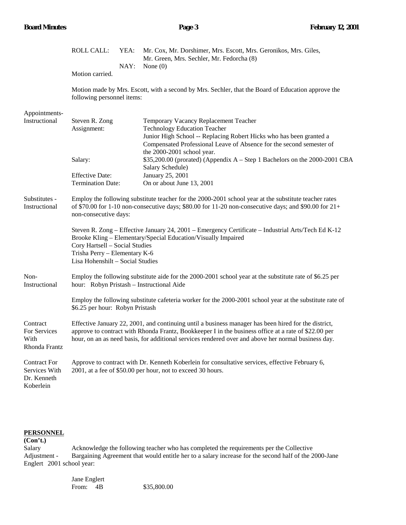|                                                                                                                                                                                                                                                                             | <b>ROLL CALL:</b>                                                                                                                                                                                                                                                                                                   | YEA:<br>NAY: | Mr. Cox, Mr. Dorshimer, Mrs. Escott, Mrs. Geronikos, Mrs. Giles,<br>Mr. Green, Mrs. Sechler, Mr. Fedorcha (8)<br>None $(0)$                                                                                                 |  |
|-----------------------------------------------------------------------------------------------------------------------------------------------------------------------------------------------------------------------------------------------------------------------------|---------------------------------------------------------------------------------------------------------------------------------------------------------------------------------------------------------------------------------------------------------------------------------------------------------------------|--------------|-----------------------------------------------------------------------------------------------------------------------------------------------------------------------------------------------------------------------------|--|
|                                                                                                                                                                                                                                                                             | Motion carried.                                                                                                                                                                                                                                                                                                     |              |                                                                                                                                                                                                                             |  |
|                                                                                                                                                                                                                                                                             | following personnel items:                                                                                                                                                                                                                                                                                          |              | Motion made by Mrs. Escott, with a second by Mrs. Sechler, that the Board of Education approve the                                                                                                                          |  |
| Appointments-<br>Instructional                                                                                                                                                                                                                                              | Steven R. Zong<br>Assignment:                                                                                                                                                                                                                                                                                       |              | Temporary Vacancy Replacement Teacher<br><b>Technology Education Teacher</b><br>Junior High School -- Replacing Robert Hicks who has been granted a<br>Compensated Professional Leave of Absence for the second semester of |  |
|                                                                                                                                                                                                                                                                             | Salary:                                                                                                                                                                                                                                                                                                             |              | the 2000-2001 school year.<br>\$35,200.00 (prorated) (Appendix A - Step 1 Bachelors on the 2000-2001 CBA<br>Salary Schedule)                                                                                                |  |
|                                                                                                                                                                                                                                                                             | <b>Effective Date:</b><br><b>Termination Date:</b>                                                                                                                                                                                                                                                                  |              | January 25, 2001<br>On or about June 13, 2001                                                                                                                                                                               |  |
| Substitutes -<br>Employ the following substitute teacher for the 2000-2001 school year at the substitute teacher rates<br>of \$70.00 for 1-10 non-consecutive days; \$80.00 for 11-20 non-consecutive days; and \$90.00 for $21+$<br>Instructional<br>non-consecutive days: |                                                                                                                                                                                                                                                                                                                     |              |                                                                                                                                                                                                                             |  |
|                                                                                                                                                                                                                                                                             | Cory Hartsell - Social Studies<br>Trisha Perry - Elementary K-6<br>Lisa Hohenshilt - Social Studies                                                                                                                                                                                                                 |              | Steven R. Zong – Effective January 24, 2001 – Emergency Certificate – Industrial Arts/Tech Ed K-12<br>Brooke Kling - Elementary/Special Education/Visually Impaired                                                         |  |
| Non-<br>Instructional                                                                                                                                                                                                                                                       | hour: Robyn Pristash - Instructional Aide                                                                                                                                                                                                                                                                           |              | Employ the following substitute aide for the 2000-2001 school year at the substitute rate of \$6.25 per                                                                                                                     |  |
|                                                                                                                                                                                                                                                                             | \$6.25 per hour: Robyn Pristash                                                                                                                                                                                                                                                                                     |              | Employ the following substitute cafeteria worker for the 2000-2001 school year at the substitute rate of                                                                                                                    |  |
| Contract<br>For Services<br>With<br>Rhonda Frantz                                                                                                                                                                                                                           | Effective January 22, 2001, and continuing until a business manager has been hired for the district,<br>approve to contract with Rhonda Frantz, Bookkeeper I in the business office at a rate of \$22.00 per<br>hour, on an as need basis, for additional services rendered over and above her normal business day. |              |                                                                                                                                                                                                                             |  |
| <b>Contract For</b><br>Services With<br>Dr. Kenneth<br>Koberlein                                                                                                                                                                                                            | Approve to contract with Dr. Kenneth Koberlein for consultative services, effective February 6,<br>2001, at a fee of \$50.00 per hour, not to exceed 30 hours.                                                                                                                                                      |              |                                                                                                                                                                                                                             |  |

# **PERSONNEL**

**(Con't.)** Salary Acknowledge the following teacher who has completed the requirements per the Collective<br>Adjustment - Bargaining Agreement that would entitle her to a salary increase for the second half of the 2 Bargaining Agreement that would entitle her to a salary increase for the second half of the 2000-Jane Englert 2001 school year:

| Jane Englert |             |
|--------------|-------------|
| From: 4B     | \$35,800.00 |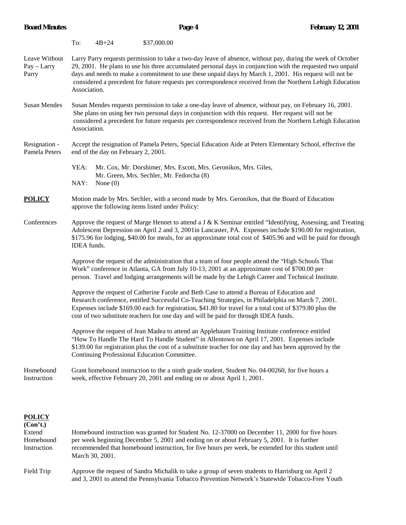|                                       | To:                                                                                                                                                                                                                                                                                                                                                                                                                                                              | $4B + 24$  | \$37,000.00                               |                                                                                                                                                                                                                                                                                                          |  |  |
|---------------------------------------|------------------------------------------------------------------------------------------------------------------------------------------------------------------------------------------------------------------------------------------------------------------------------------------------------------------------------------------------------------------------------------------------------------------------------------------------------------------|------------|-------------------------------------------|----------------------------------------------------------------------------------------------------------------------------------------------------------------------------------------------------------------------------------------------------------------------------------------------------------|--|--|
| Leave Without<br>Pay - Larry<br>Parry | Larry Parry requests permission to take a two-day leave of absence, without pay, during the week of October<br>29, 2001. He plans to use his three accumulated personal days in conjunction with the requested two unpaid<br>days and needs to make a commitment to use these unpaid days by March 1, 2001. His request will not be<br>considered a precedent for future requests per correspondence received from the Northern Lehigh Education<br>Association. |            |                                           |                                                                                                                                                                                                                                                                                                          |  |  |
| <b>Susan Mendes</b>                   | Susan Mendes requests permission to take a one-day leave of absence, without pay, on February 16, 2001.<br>She plans on using her two personal days in conjunction with this request. Her request will not be<br>considered a precedent for future requests per correspondence received from the Northern Lehigh Education<br>Association.                                                                                                                       |            |                                           |                                                                                                                                                                                                                                                                                                          |  |  |
| Resignation -<br>Pamela Peters        | Accept the resignation of Pamela Peters, Special Education Aide at Peters Elementary School, effective the<br>end of the day on February 2, 2001.                                                                                                                                                                                                                                                                                                                |            |                                           |                                                                                                                                                                                                                                                                                                          |  |  |
|                                       | YEA:<br>NAY:                                                                                                                                                                                                                                                                                                                                                                                                                                                     | None $(0)$ | Mr. Green, Mrs. Sechler, Mr. Fedorcha (8) | Mr. Cox, Mr. Dorshimer, Mrs. Escott, Mrs. Geronikos, Mrs. Giles,                                                                                                                                                                                                                                         |  |  |
| <b>POLICY</b>                         | Motion made by Mrs. Sechler, with a second made by Mrs. Geronikos, that the Board of Education<br>approve the following items listed under Policy:                                                                                                                                                                                                                                                                                                               |            |                                           |                                                                                                                                                                                                                                                                                                          |  |  |
| Conferences                           | Approve the request of Marge Hennet to attend a J & K Seminar entitled "Identifying, Assessing, and Treating<br>Adolescent Depression on April 2 and 3, 2001in Lancaster, PA. Expenses include \$190.00 for registration,<br>\$175.96 for lodging, \$40.00 for meals, for an approximate total cost of \$405.96 and will be paid for through<br>IDEA funds.                                                                                                      |            |                                           |                                                                                                                                                                                                                                                                                                          |  |  |
|                                       |                                                                                                                                                                                                                                                                                                                                                                                                                                                                  |            |                                           | Approve the request of the administration that a team of four people attend the "High Schools That<br>Work" conference in Atlanta, GA from July 10-13, 2001 at an approximate cost of \$700.00 per<br>person. Travel and lodging arrangements will be made by the Lehigh Career and Technical Institute. |  |  |
|                                       | Approve the request of Catherine Farole and Beth Case to attend a Bureau of Education and<br>Research conference, entitled Successful Co-Teaching Strategies, in Philadelphia on March 7, 2001.<br>Expenses include \$169.00 each for registration, \$41.80 for travel for a total cost of \$379.80 plus the<br>cost of two substitute teachers for one day and will be paid for through IDEA funds.                                                             |            |                                           |                                                                                                                                                                                                                                                                                                          |  |  |
|                                       | Approve the request of Jean Madea to attend an Applebaum Training Institute conference entitled<br>"How To Handle The Hard To Handle Student" in Allentown on April 17, 2001. Expenses include<br>\$139.00 for registration plus the cost of a substitute teacher for one day and has been approved by the<br>Continuing Professional Education Committee.                                                                                                       |            |                                           |                                                                                                                                                                                                                                                                                                          |  |  |
| Homebound<br>Instruction              | Grant homebound instruction to the a ninth grade student, Student No. 04-00260, for five hours a<br>week, effective February 20, 2001 and ending on or about April 1, 2001.                                                                                                                                                                                                                                                                                      |            |                                           |                                                                                                                                                                                                                                                                                                          |  |  |

## **POLICY**

**(Con't.)** Extend Homebound instruction was granted for Student No. 12-37000 on December 11, 2000 for five hours Homebound per week beginning December 5, 2001 and ending on or about February 5, 2001. It is further Instruction recommended that homebound instruction, for five hours per week, be extended for this student until March 30, 2001.

Field Trip Approve the request of Sandra Michalik to take a group of seven students to Harrisburg on April 2 and 3, 2001 to attend the Pennsylvania Tobacco Prevention Network's Statewide Tobacco-Free Youth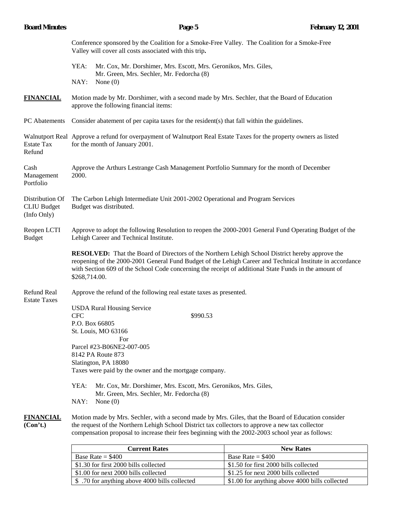| <b>Board Minutes</b>                                 | Page 5                                                                                                                                                                                                                                                                                                                                        | <b>February 12, 2001</b> |  |  |  |  |
|------------------------------------------------------|-----------------------------------------------------------------------------------------------------------------------------------------------------------------------------------------------------------------------------------------------------------------------------------------------------------------------------------------------|--------------------------|--|--|--|--|
|                                                      | Conference sponsored by the Coalition for a Smoke-Free Valley. The Coalition for a Smoke-Free<br>Valley will cover all costs associated with this trip.                                                                                                                                                                                       |                          |  |  |  |  |
|                                                      | YEA:<br>Mr. Cox, Mr. Dorshimer, Mrs. Escott, Mrs. Geronikos, Mrs. Giles,<br>Mr. Green, Mrs. Sechler, Mr. Fedorcha (8)                                                                                                                                                                                                                         |                          |  |  |  |  |
|                                                      | NAY:<br>None $(0)$                                                                                                                                                                                                                                                                                                                            |                          |  |  |  |  |
| <b>FINANCIAL</b>                                     | Motion made by Mr. Dorshimer, with a second made by Mrs. Sechler, that the Board of Education<br>approve the following financial items:                                                                                                                                                                                                       |                          |  |  |  |  |
| PC Abatements                                        | Consider abatement of per capita taxes for the resident(s) that fall within the guidelines.                                                                                                                                                                                                                                                   |                          |  |  |  |  |
| <b>Estate Tax</b><br>Refund                          | Walnutport Real Approve a refund for overpayment of Walnutport Real Estate Taxes for the property owners as listed<br>for the month of January 2001.                                                                                                                                                                                          |                          |  |  |  |  |
| Cash<br>Management<br>Portfolio                      | Approve the Arthurs Lestrange Cash Management Portfolio Summary for the month of December<br>2000.                                                                                                                                                                                                                                            |                          |  |  |  |  |
| Distribution Of<br><b>CLIU Budget</b><br>(Info Only) | The Carbon Lehigh Intermediate Unit 2001-2002 Operational and Program Services<br>Budget was distributed.                                                                                                                                                                                                                                     |                          |  |  |  |  |
| Reopen LCTI<br><b>Budget</b>                         | Approve to adopt the following Resolution to reopen the 2000-2001 General Fund Operating Budget of the<br>Lehigh Career and Technical Institute.                                                                                                                                                                                              |                          |  |  |  |  |
|                                                      | <b>RESOLVED:</b> That the Board of Directors of the Northern Lehigh School District hereby approve the<br>reopening of the 2000-2001 General Fund Budget of the Lehigh Career and Technical Institute in accordance<br>with Section 609 of the School Code concerning the receipt of additional State Funds in the amount of<br>\$268,714.00. |                          |  |  |  |  |
| Refund Real<br><b>Estate Taxes</b>                   | Approve the refund of the following real estate taxes as presented.                                                                                                                                                                                                                                                                           |                          |  |  |  |  |
|                                                      | <b>USDA Rural Housing Service</b><br>\$990.53<br><b>CFC</b><br>P.O. Box 66805<br>St. Louis, MO 63166                                                                                                                                                                                                                                          |                          |  |  |  |  |
|                                                      | For<br>Parcel #23-B06NE2-007-005<br>8142 PA Route 873<br>Slatington, PA 18080<br>Taxes were paid by the owner and the mortgage company.                                                                                                                                                                                                       |                          |  |  |  |  |
|                                                      | YEA:<br>Mr. Cox, Mr. Dorshimer, Mrs. Escott, Mrs. Geronikos, Mrs. Giles,<br>Mr. Green, Mrs. Sechler, Mr. Fedorcha (8)<br>NAY:<br>None $(0)$                                                                                                                                                                                                   |                          |  |  |  |  |
| <b>FINANCIAL</b><br>(Con't.)                         | Motion made by Mrs. Sechler, with a second made by Mrs. Giles, that the Board of Education consider<br>the request of the Northern Lehigh School District tax collectors to approve a new tax collector<br>compensation proposal to increase their fees beginning with the 2002-2003 school year as follows:                                  |                          |  |  |  |  |

| <b>Current Rates</b>                           | <b>New Rates</b>                               |
|------------------------------------------------|------------------------------------------------|
| Base Rate = $$400$                             | Base Rate = $$400$                             |
| \$1.30 for first 2000 bills collected          | \$1.50 for first 2000 bills collected          |
| \$1.00 for next 2000 bills collected           | \$1.25 for next 2000 bills collected           |
| \$ .70 for anything above 4000 bills collected | \$1.00 for anything above 4000 bills collected |